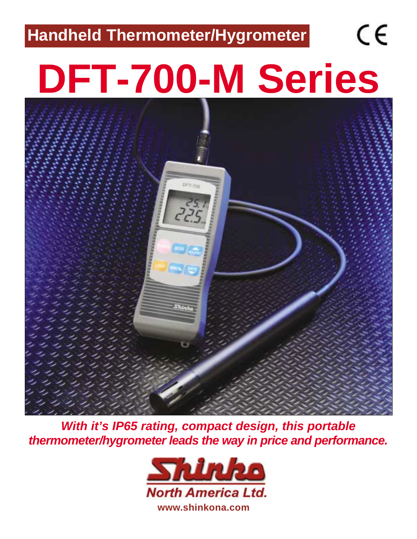**Handheld Thermometer/Hygrometer**

**DFT-700-M Series**

 $\epsilon$ 



*With it's IP65 rating, compact design, this portable thermometer/hygrometer leads the way in price and performance.*